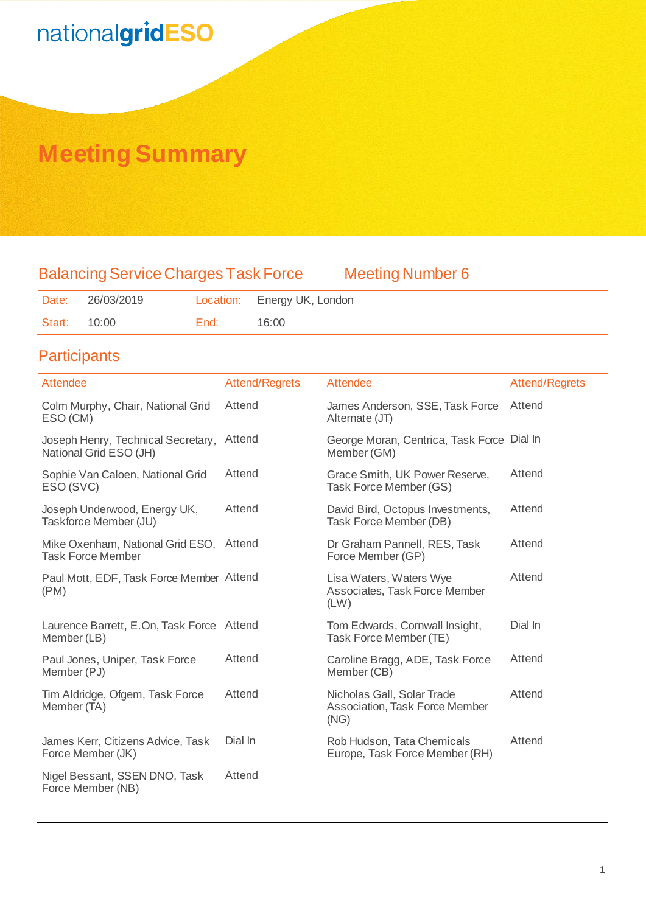### **Meeting Summary**

### Balancing Service Charges Task Force Meeting Number 6

| Date:               | 26/03/2019 |      | Location: Energy UK, London |
|---------------------|------------|------|-----------------------------|
| <b>Start: 10:00</b> |            | End: | 16:00                       |

### **Participants**

| Attendee                                                     | <b>Attend/Regrets</b> | <b>Attendee</b>                                                             | <b>Attend/Regrets</b> |
|--------------------------------------------------------------|-----------------------|-----------------------------------------------------------------------------|-----------------------|
| Colm Murphy, Chair, National Grid<br>ESO (CM)                | Attend                | James Anderson, SSE, Task Force<br>Alternate (JT)                           | Attend                |
| Joseph Henry, Technical Secretary,<br>National Grid ESO (JH) | Attend                | George Moran, Centrica, Task Force Dial In<br>Member (GM)                   |                       |
| Sophie Van Caloen, National Grid<br>ESO (SVC)                | Attend                | Grace Smith, UK Power Reserve,<br>Task Force Member (GS)                    | Attend                |
| Joseph Underwood, Energy UK,<br>Taskforce Member (JU)        | Attend                | David Bird, Octopus Investments,<br>Task Force Member (DB)                  | Attend                |
| Mike Oxenham, National Grid ESO,<br><b>Task Force Member</b> | Attend                | Dr Graham Pannell, RES, Task<br>Force Member (GP)                           | Attend                |
| Paul Mott, EDF, Task Force Member Attend<br>(PM)             |                       | Lisa Waters, Waters Wye<br>Associates, Task Force Member<br>(LW)            | Attend                |
| Laurence Barrett, E.On, Task Force Attend<br>Member (LB)     |                       | Tom Edwards, Cornwall Insight,<br>Task Force Member (TE)                    | Dial In               |
| Paul Jones, Uniper, Task Force<br>Member (PJ)                | Attend                | Caroline Bragg, ADE, Task Force<br>Member (CB)                              | Attend                |
| Tim Aldridge, Ofgem, Task Force<br>Member (TA)               | Attend                | Nicholas Gall, Solar Trade<br><b>Association, Task Force Member</b><br>(NG) | Attend                |
| James Kerr, Citizens Advice, Task<br>Force Member (JK)       | Dial In               | Rob Hudson, Tata Chemicals<br>Europe, Task Force Member (RH)                | Attend                |
| Nigel Bessant, SSEN DNO, Task<br>Force Member (NB)           | Attend                |                                                                             |                       |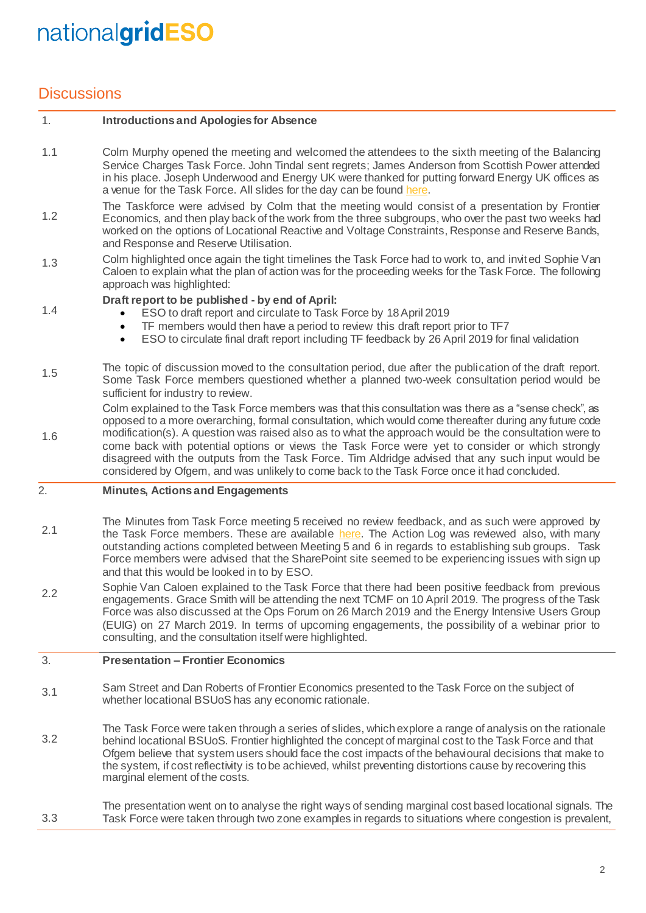### **Discussions**

1.4

#### 1. **Introductions and Apologies for Absence**

- 1.1 Colm Murphy opened the meeting and welcomed the attendees to the sixth meeting of the Balancing Service Charges Task Force. John Tindal sent regrets; James Anderson from Scottish Power attended in his place. Joseph Underwood and Energy UK were thanked for putting forward Energy UK offices as a venue for the Task Force. All slides for the day can be foun[d here.](http://www.chargingfutures.com/)
- 1.2 The Taskforce were advised by Colm that the meeting would consist of a presentation by Frontier Economics, and then play back of the work from the three subgroups, who over the past two weeks had worked on the options of Locational Reactive and Voltage Constraints, Response and Reserve Bands, and Response and Reserve Utilisation.
- 1.3 Colm highlighted once again the tight timelines the Task Force had to work to, and invited Sophie Van Caloen to explain what the plan of action was for the proceeding weeks for the Task Force. The following approach was highlighted:

### **Draft report to be published - by end of April:**

- ESO to draft report and circulate to Task Force by 18April 2019
- TF members would then have a period to review this draft report prior to TF7
- ESO to circulate final draft report including TF feedback by 26 April 2019 for final validation
- 1.5 The topic of discussion moved to the consultation period, due after the publication of the draft report. Some Task Force members questioned whether a planned two-week consultation period would be sufficient for industry to review.
- 1.6 Colm explained to the Task Force members was that this consultation was there as a "sense check", as opposed to a more overarching, formal consultation, which would come thereafter during any future code modification(s). A question was raised also as to what the approach would be the consultation were to come back with potential options or views the Task Force were yet to consider or which strongly disagreed with the outputs from the Task Force. Tim Aldridge advised that any such input would be considered by Ofgem, and was unlikely to come back to the Task Force once it had concluded.

#### 2. **Minutes, Actions and Engagements**

- 2.1 The Minutes from Task Force meeting 5 received no review feedback, and as such were approved by the Task Force members. These are available [here.](http://www.chargingfutures.com/) The Action Log was reviewed also, with many outstanding actions completed between Meeting 5 and 6 in regards to establishing sub groups. Task Force members were advised that the SharePoint site seemed to be experiencing issues with sign up and that this would be looked in to by ESO.
- 2.2 Sophie Van Caloen explained to the Task Force that there had been positive feedback from previous engagements. Grace Smith will be attending the next TCMF on 10 April 2019. The progress of the Task Force was also discussed at the Ops Forum on 26 March 2019 and the Energy Intensive Users Group (EUIG) on 27 March 2019. In terms of upcoming engagements, the possibility of a webinar prior to consulting, and the consultation itself were highlighted.

#### 3. **Presentation – Frontier Economics**

- 3.1 Sam Street and Dan Roberts of Frontier Economics presented to the Task Force on the subject of whether locational BSUoS has any economic rationale.
- 3.2 The Task Force were taken through a series of slides, which explore a range of analysis on the rationale behind locational BSUoS. Frontier highlighted the concept of marginal cost to the Task Force and that Ofgem believe that system users should face the cost impacts of the behavioural decisions that make to the system, if cost reflectivity is to be achieved, whilst preventing distortions cause by recovering this marginal element of the costs.

3.3 The presentation went on to analyse the right ways of sending marginal cost based locational signals. The Task Force were taken through two zone examples in regards to situations where congestion is prevalent,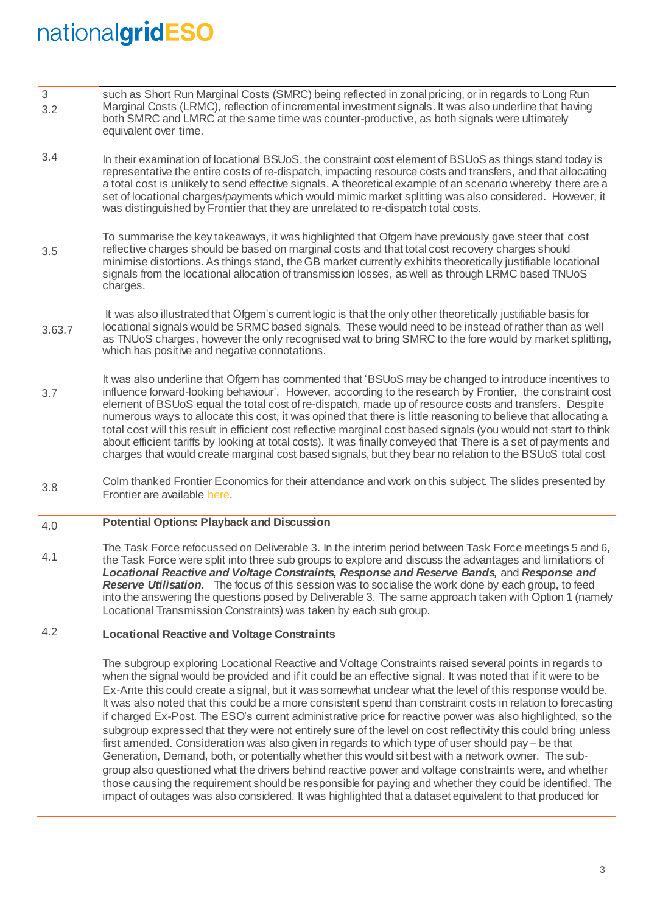- 3 3.2 such as Short Run Marginal Costs (SMRC) being reflected in zonal pricing, or in regards to Long Run Marginal Costs (LRMC), reflection of incremental investment signals. It was also underline that having both SMRC and LMRC at the same time was counter-productive, as both signals were ultimately equivalent over time.
- 3.4 In their examination of locational BSUoS, the constraint cost element of BSUoS as things stand today is representative the entire costs of re-dispatch, impacting resource costs and transfers, and that allocating a total cost is unlikely to send effective signals. A theoretical example of an scenario whereby there are a set of locational charges/payments which would mimic market splitting was also considered. However, it was distinguished by Frontier that they are unrelated to re-dispatch total costs.
- 3.5 To summarise the key takeaways, it was highlighted that Ofgem have previously gave steer that cost reflective charges should be based on marginal costs and that total cost recovery charges should minimise distortions. As things stand, the GB market currently exhibits theoretically justifiable locational signals from the locational allocation of transmission losses, as well as through LRMC based TNUoS charges.
- 3.63.7 It was also illustrated that Ofgem's current logic is that the only other theoretically justifiable basis for locational signals would be SRMC based signals. These would need to be instead of rather than as well as TNUoS charges, however the only recognised wat to bring SMRC to the fore would by market splitting, which has positive and negative connotations.
- 3.7 It was also underline that Ofgem has commented that 'BSUoS may be changed to introduce incentives to influence forward-looking behaviour'. However, according to the research by Frontier, the constraint cost element of BSUoS equal the total cost of re-dispatch, made up of resource costs and transfers. Despite numerous ways to allocate this cost, it was opined that there is little reasoning to believe that allocating a total cost will this result in efficient cost reflective marginal cost based signals (you would not start to think about efficient tariffs by looking at total costs). It was finally conveyed that There is a set of payments and charges that would create marginal cost based signals, but they bear no relation to the BSUoS total cost
- 3.8 Colm thanked Frontier Economics for their attendance and work on this subject. The slides presented by Frontier are available [here.](http://www.chargingfutures.com/)

#### 4.0 **Potential Options: Playback and Discussion**

4.1 The Task Force refocussed on Deliverable 3. In the interim period between Task Force meetings 5 and 6, the Task Force were split into three sub groups to explore and discuss the advantages and limitations of *Locational Reactive and Voltage Constraints, Response and Reserve Bands,* and *Response and*  **Reserve Utilisation.** The focus of this session was to socialise the work done by each group, to feed into the answering the questions posed by Deliverable 3. The same approach taken with Option 1 (namely Locational Transmission Constraints) was taken by each sub group.

#### 4.2 **Locational Reactive and Voltage Constraints**

The subgroup exploring Locational Reactive and Voltage Constraints raised several points in regards to when the signal would be provided and if it could be an effective signal. It was noted that if it were to be Ex-Ante this could create a signal, but it was somewhat unclear what the level of this response would be. It was also noted that this could be a more consistent spend than constraint costs in relation to forecasting if charged Ex-Post. The ESO's current administrative price for reactive power was also highlighted, so the subgroup expressed that they were not entirely sure of the level on cost reflectivity this could bring unless first amended. Consideration was also given in regards to which type of user should pay – be that Generation, Demand, both, or potentially whether this would sit best with a network owner. The subgroup also questioned what the drivers behind reactive power and voltage constraints were, and whether those causing the requirement should be responsible for paying and whether they could be identified. The impact of outages was also considered. It was highlighted that a dataset equivalent to that produced for